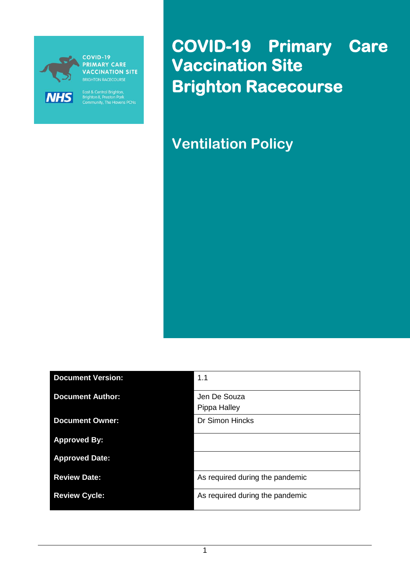

**PRIMARY CARE VACCINATION SITE** 

East & Central Brighton,<br>Brighton II, Preston Park<br>Community, The Havens PCNs

**COVID-19 Primary Care Vaccination Site Brighton Racecourse** 

**Ventilation Policy**

| <b>Document Version:</b> | 1.1                             |
|--------------------------|---------------------------------|
| <b>Document Author:</b>  | Jen De Souza<br>Pippa Halley    |
| <b>Document Owner:</b>   | <b>Dr Simon Hincks</b>          |
| <b>Approved By:</b>      |                                 |
| <b>Approved Date:</b>    |                                 |
| <b>Review Date:</b>      | As required during the pandemic |
| <b>Review Cycle:</b>     | As required during the pandemic |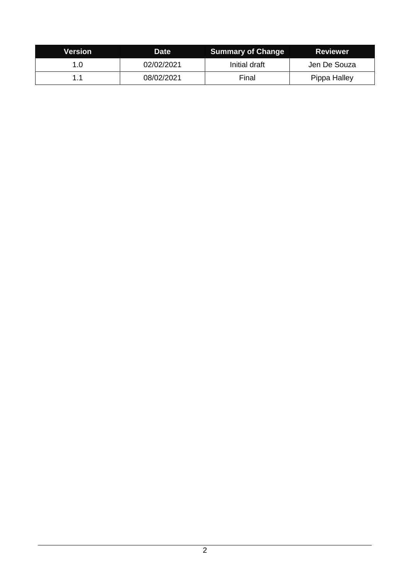| Version | <b>Date</b> | <b>Summary of Change</b> | <b>Reviewer</b> |
|---------|-------------|--------------------------|-----------------|
|         | 02/02/2021  | Initial draft            | Jen De Souza    |
|         | 08/02/2021  | Final                    | Pippa Halley    |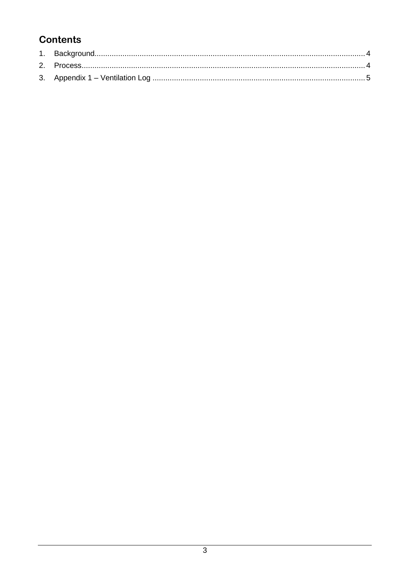### **Contents**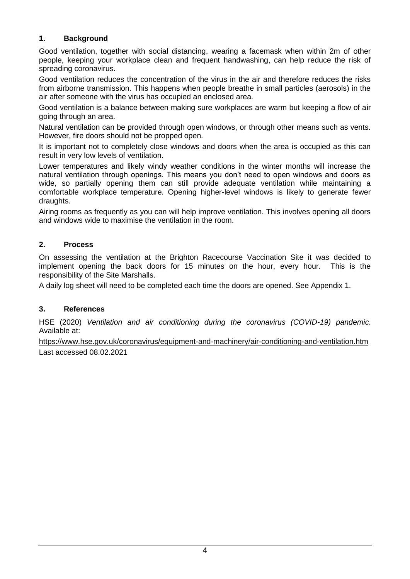#### <span id="page-3-0"></span>**1. Background**

Good ventilation, together with social distancing, wearing a facemask when within 2m of other people, keeping your workplace clean and frequent handwashing, can help reduce the risk of spreading coronavirus.

Good ventilation reduces the concentration of the virus in the air and therefore reduces the risks from airborne transmission. This happens when people breathe in small particles (aerosols) in the air after someone with the virus has occupied an enclosed area.

Good ventilation is a balance between making sure workplaces are warm but keeping a flow of air going through an area.

Natural ventilation can be provided through open windows, or through other means such as vents. However, fire doors should not be propped open.

It is important not to completely close windows and doors when the area is occupied as this can result in very low levels of ventilation.

Lower temperatures and likely windy weather conditions in the winter months will increase the natural ventilation through openings. This means you don't need to open windows and doors as wide, so partially opening them can still provide adequate ventilation while maintaining a comfortable workplace temperature. Opening higher-level windows is likely to generate fewer draughts.

Airing rooms as frequently as you can will help improve ventilation. This involves opening all doors and windows wide to maximise the ventilation in the room.

#### <span id="page-3-1"></span>**2. Process**

On assessing the ventilation at the Brighton Racecourse Vaccination Site it was decided to implement opening the back doors for 15 minutes on the hour, every hour. This is the responsibility of the Site Marshalls.

A daily log sheet will need to be completed each time the doors are opened. See Appendix 1.

#### **3. References**

HSE (2020) *Ventilation and air conditioning during the coronavirus (COVID-19) pandemic*. Available at:

<https://www.hse.gov.uk/coronavirus/equipment-and-machinery/air-conditioning-and-ventilation.htm> Last accessed 08.02.2021